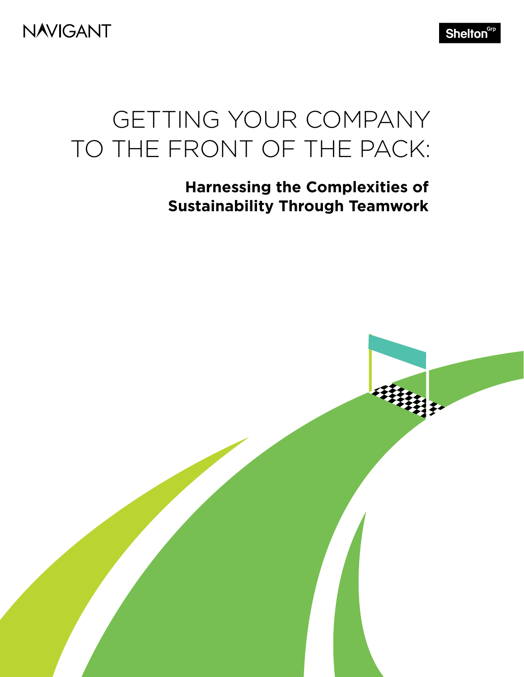**NAVIGANT** 

Shelton<sup>Grp</sup>

## GETTING YOUR COMPANY TO THE FRONT OF THE PACK:

## **Harnessing the Complexities of Sustainability Through Teamwork**

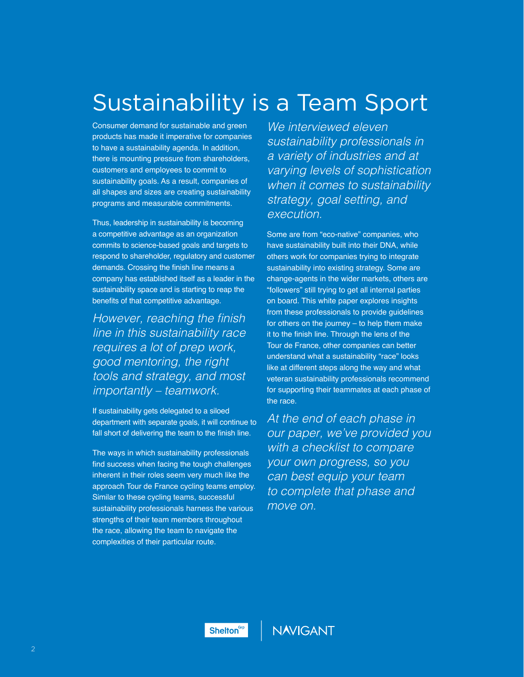## Sustainability is a Team Sport

Consumer demand for sustainable and green products has made it imperative for companies to have a sustainability agenda. In addition, there is mounting pressure from shareholders, customers and employees to commit to sustainability goals. As a result, companies of all shapes and sizes are creating sustainability programs and measurable commitments.

Thus, leadership in sustainability is becoming a competitive advantage as an organization commits to science-based goals and targets to respond to shareholder, regulatory and customer demands. Crossing the finish line means a company has established itself as a leader in the sustainability space and is starting to reap the benefits of that competitive advantage.

However, reaching the finish line in this sustainability race requires a lot of prep work, *good mentoring, the right*  tools and strategy, and most importantly – teamwork.

If sustainability gets delegated to a siloed department with separate goals, it will continue to fall short of delivering the team to the finish line.

The ways in which sustainability professionals find success when facing the tough challenges inherent in their roles seem very much like the approach Tour de France cycling teams employ. Similar to these cycling teams, successful sustainability professionals harness the various strengths of their team members throughout the race, allowing the team to navigate the complexities of their particular route.

*We interviewed eleven*  sustainability professionals in a variety of industries and at varying levels of sophistication when it comes to sustainability strategy, goal setting, and execution.

Some are from "eco-native" companies, who have sustainability built into their DNA, while others work for companies trying to integrate sustainability into existing strategy. Some are change-agents in the wider markets, others are "followers" still trying to get all internal parties on board. This white paper explores insights from these professionals to provide guidelines for others on the journey – to help them make it to the finish line. Through the lens of the Tour de France, other companies can better understand what a sustainability "race" looks like at different steps along the way and what veteran sustainability professionals recommend for supporting their teammates at each phase of the race.

At the end of each phase in our paper, we've provided you with a checklist to compare your own progress, so you can best equip your team to complete that phase and move on.

Shelton<sup>Grp</sup>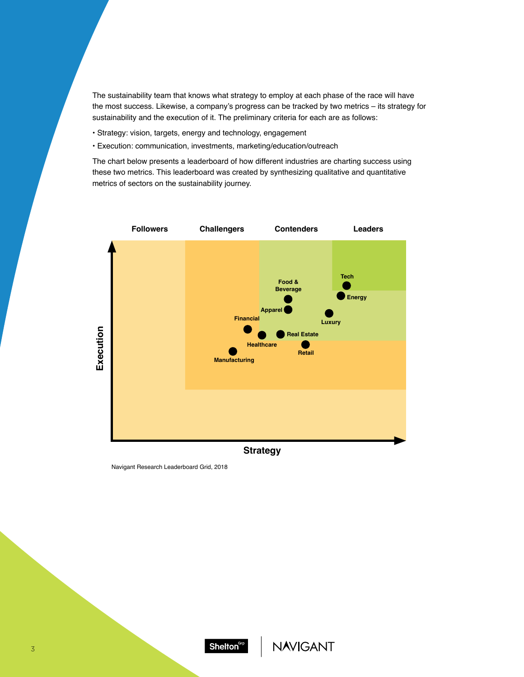The sustainability team that knows what strategy to employ at each phase of the race will have the most success. Likewise, a company's progress can be tracked by two metrics – its strategy for sustainability and the execution of it. The preliminary criteria for each are as follows:

- Strategy: vision, targets, energy and technology, engagement
- Execution: communication, investments, marketing/education/outreach

The chart below presents a leaderboard of how different industries are charting success using these two metrics. This leaderboard was created by synthesizing qualitative and quantitative metrics of sectors on the sustainability journey.



Navigant Research Leaderboard Grid, 2018

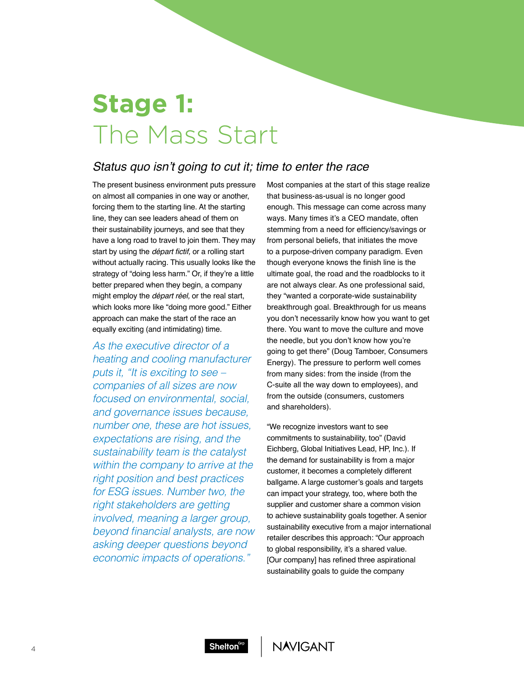## **Stage 1:** The Mass Start

### Status quo isn't going to cut it; time to enter the race

The present business environment puts pressure on almost all companies in one way or another, forcing them to the starting line. At the starting line, they can see leaders ahead of them on their sustainability journeys, and see that they have a long road to travel to join them. They may start by using the *départ fictif*, or a rolling start without actually racing. This usually looks like the strategy of "doing less harm." Or, if they're a little better prepared when they begin, a company might employ the *départ réel*, or the real start, which looks more like "doing more good." Either approach can make the start of the race an equally exciting (and intimidating) time.

As the executive director of a heating and cooling manufacturer puts it, "It is exciting to see – companies of all sizes are now focused on environmental, social, and governance issues because, number one, these are hot issues, expectations are rising, and the sustainability team is the catalyst within the company to arrive at the right position and best practices for ESG issues. Number two, the right stakeholders are getting involved, meaning a larger group, beyond financial analysts, are now asking deeper questions beyond economic impacts of operations."

Most companies at the start of this stage realize that business-as-usual is no longer good enough. This message can come across many ways. Many times it's a CEO mandate, often stemming from a need for efficiency/savings or from personal beliefs, that initiates the move to a purpose-driven company paradigm. Even though everyone knows the finish line is the ultimate goal, the road and the roadblocks to it are not always clear. As one professional said, they "wanted a corporate-wide sustainability breakthrough goal. Breakthrough for us means you don't necessarily know how you want to get there. You want to move the culture and move the needle, but you don't know how you're going to get there" (Doug Tamboer, Consumers Energy). The pressure to perform well comes from many sides: from the inside (from the C-suite all the way down to employees), and from the outside (consumers, customers and shareholders).

"We recognize investors want to see commitments to sustainability, too" (David Eichberg, Global Initiatives Lead, HP, Inc.). If the demand for sustainability is from a major customer, it becomes a completely different ballgame. A large customer's goals and targets can impact your strategy, too, where both the supplier and customer share a common vision to achieve sustainability goals together. A senior sustainability executive from a major international retailer describes this approach: "Our approach to global responsibility, it's a shared value. [Our company] has refined three aspirational sustainability goals to guide the company

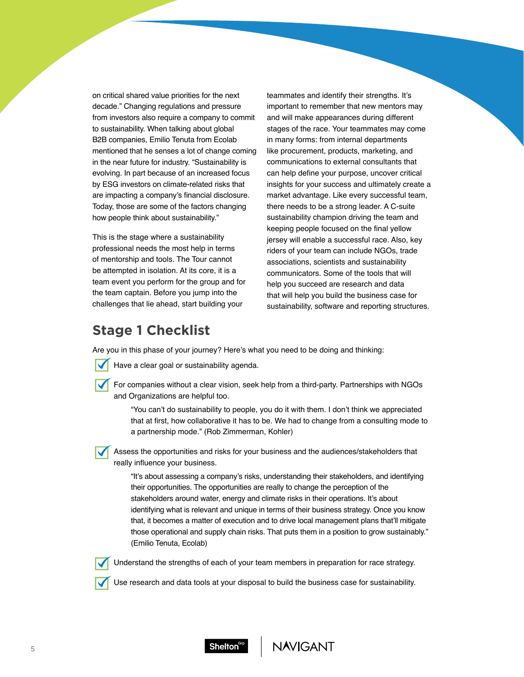on critical shared value priorities for the next decade." Changing regulations and pressure from investors also require a company to commit to sustainability. When talking about global B2B companies, Emilio Tenuta from Ecolab mentioned that he senses a lot of change coming in the near future for industry. "Sustainability is evolving. In part because of an increased focus by ESG investors on climate-related risks that are impacting a company's financial disclosure. Today, those are some of the factors changing how people think about sustainability."

This is the stage where a sustainability professional needs the most help in terms of mentorship and tools. The Tour cannot be attempted in isolation. At its core, it is a team event you perform for the group and for the team captain. Before you jump into the challenges that lie ahead, start building your

teammates and identify their strengths. It's important to remember that new mentors may and will make appearances during different stages of the race. Your teammates may come in many forms: from internal departments like procurement, products, marketing, and communications to external consultants that can help define your purpose, uncover critical insights for your success and ultimately create a market advantage. Like every successful team, there needs to be a strong leader. A C-suite sustainability champion driving the team and keeping people focused on the final yellow jersey will enable a successful race. Also, key riders of your team can include NGOs, trade associations, scientists and sustainability communicators. Some of the tools that will help you succeed are research and data that will help you build the business case for sustainability, software and reporting structures.

### **Stage 1 Checklist**

Are you in this phase of your journey? Here's what you need to be doing and thinking:

- Have a clear goal or sustainability agenda.
- For companies without a clear vision, seek help from a third-party. Partnerships with NGOs and Organizations are helpful too.

"You can't do sustainability to people, you do it with them. I don't think we appreciated that at first, how collaborative it has to be. We had to change from a consulting mode to a partnership mode." (Rob Zimmerman, Kohler)

Assess the opportunities and risks for your business and the audiences/stakeholders that really influence your business.

> "It's about assessing a company's risks, understanding their stakeholders, and identifying their opportunities. The opportunities are really to change the perception of the stakeholders around water, energy and climate risks in their operations. It's about identifying what is relevant and unique in terms of their business strategy. Once you know that, it becomes a matter of execution and to drive local management plans that'll mitigate those operational and supply chain risks. That puts them in a position to grow sustainably." (Emilio Tenuta, Ecolab)



Understand the strengths of each of your team members in preparation for race strategy.

Use research and data tools at your disposal to build the business case for sustainability.



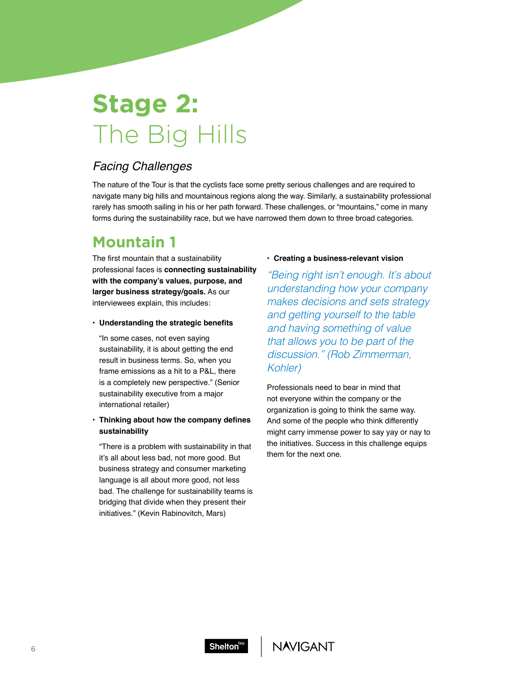## **Stage 2:** The Big Hills

### Facing Challenges

The nature of the Tour is that the cyclists face some pretty serious challenges and are required to navigate many big hills and mountainous regions along the way. Similarly, a sustainability professional rarely has smooth sailing in his or her path forward. These challenges, or "mountains," come in many forms during the sustainability race, but we have narrowed them down to three broad categories.

## **Mountain 1**

The first mountain that a sustainability professional faces is **connecting sustainability with the company's values, purpose, and larger business strategy/goals.** As our interviewees explain, this includes:

#### **• Understanding the strategic benefits**

"In some cases, not even saying sustainability, it is about getting the end result in business terms. So, when you frame emissions as a hit to a P&L, there is a completely new perspective." (Senior sustainability executive from a major international retailer)

#### **• Thinking about how the company defines sustainability**

"There is a problem with sustainability in that it's all about less bad, not more good. But business strategy and consumer marketing language is all about more good, not less bad. The challenge for sustainability teams is bridging that divide when they present their initiatives." (Kevin Rabinovitch, Mars)

#### **• Creating a business-relevant vision**

"Being right isn't enough. It's about understanding how your company makes decisions and sets strategy and getting yourself to the table and having something of value that allows you to be part of the discussion." (Rob Zimmerman, *Kohler)*

Professionals need to bear in mind that not everyone within the company or the organization is going to think the same way. And some of the people who think differently might carry immense power to say yay or nay to the initiatives. Success in this challenge equips them for the next one.



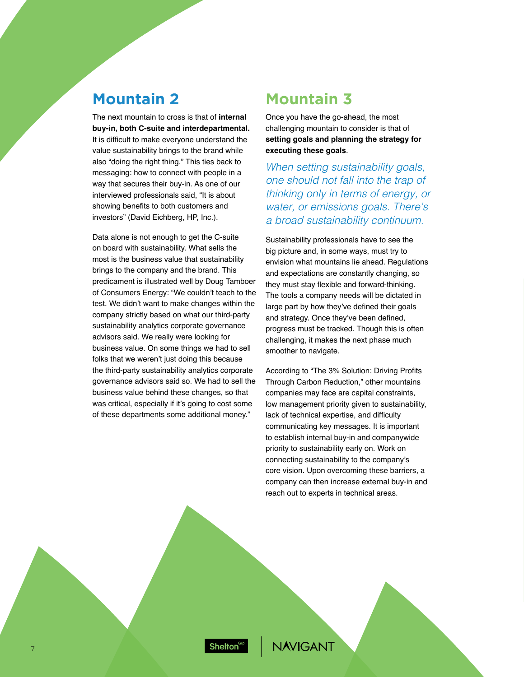## **Mountain 2 Mountain 3**

The next mountain to cross is that of **internal buy-in, both C-suite and interdepartmental.** It is difficult to make everyone understand the value sustainability brings to the brand while also "doing the right thing." This ties back to messaging: how to connect with people in a way that secures their buy-in. As one of our interviewed professionals said, "It is about showing benefits to both customers and investors" (David Eichberg, HP, Inc.).

Data alone is not enough to get the C-suite on board with sustainability. What sells the most is the business value that sustainability brings to the company and the brand. This predicament is illustrated well by Doug Tamboer of Consumers Energy: "We couldn't teach to the test. We didn't want to make changes within the company strictly based on what our third-party sustainability analytics corporate governance advisors said. We really were looking for business value. On some things we had to sell folks that we weren't just doing this because the third-party sustainability analytics corporate governance advisors said so. We had to sell the business value behind these changes, so that was critical, especially if it's going to cost some of these departments some additional money."

Once you have the go-ahead, the most challenging mountain to consider is that of **setting goals and planning the strategy for executing these goals**.

When setting sustainability goals, one should not fall into the trap of thinking only in terms of energy, or water, or emissions goals. There's a broad sustainability continuum.

Sustainability professionals have to see the big picture and, in some ways, must try to envision what mountains lie ahead. Regulations and expectations are constantly changing, so they must stay flexible and forward-thinking. The tools a company needs will be dictated in large part by how they've defined their goals and strategy. Once they've been defined, progress must be tracked. Though this is often challenging, it makes the next phase much smoother to navigate.

According to "The 3% Solution: Driving Profits Through Carbon Reduction," other mountains companies may face are capital constraints, low management priority given to sustainability, lack of technical expertise, and difficulty communicating key messages. It is important to establish internal buy-in and companywide priority to sustainability early on. Work on connecting sustainability to the company's core vision. Upon overcoming these barriers, a company can then increase external buy-in and reach out to experts in technical areas.

Shelton<sup>Grp</sup>

**IAVIGANT**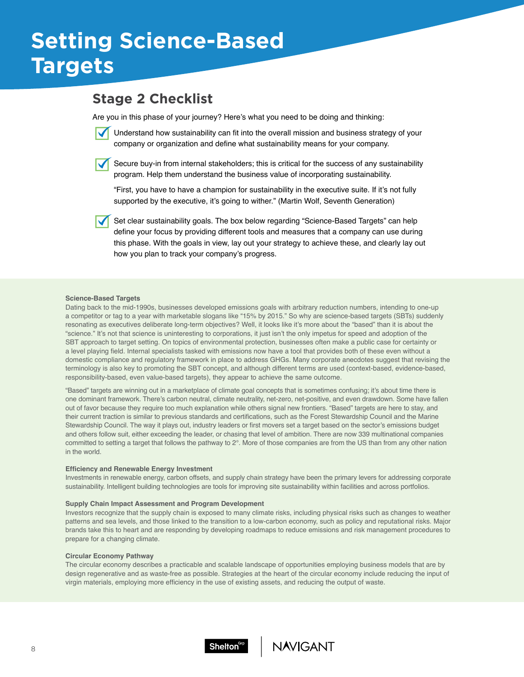## **Setting Science-Based Targets**

### **Stage 2 Checklist**

Are you in this phase of your journey? Here's what you need to be doing and thinking:



Secure buy-in from internal stakeholders; this is critical for the success of any sustainability program. Help them understand the business value of incorporating sustainability.

"First, you have to have a champion for sustainability in the executive suite. If it's not fully supported by the executive, it's going to wither." (Martin Wolf, Seventh Generation)

Set clear sustainability goals. The box below regarding "Science-Based Targets" can help define your focus by providing different tools and measures that a company can use during this phase. With the goals in view, lay out your strategy to achieve these, and clearly lay out how you plan to track your company's progress.

#### **Science-Based Targets**

Dating back to the mid-1990s, businesses developed emissions goals with arbitrary reduction numbers, intending to one-up a competitor or tag to a year with marketable slogans like "15% by 2015." So why are science-based targets (SBTs) suddenly resonating as executives deliberate long-term objectives? Well, it looks like it's more about the "based" than it is about the "science." It's not that science is uninteresting to corporations, it just isn't the only impetus for speed and adoption of the SBT approach to target setting. On topics of environmental protection, businesses often make a public case for certainty or a level playing field. Internal specialists tasked with emissions now have a tool that provides both of these even without a domestic compliance and regulatory framework in place to address GHGs. Many corporate anecdotes suggest that revising the terminology is also key to promoting the SBT concept, and although different terms are used (context-based, evidence-based, responsibility-based, even value-based targets), they appear to achieve the same outcome.

"Based" targets are winning out in a marketplace of climate goal concepts that is sometimes confusing; it's about time there is one dominant framework. There's carbon neutral, climate neutrality, net-zero, net-positive, and even drawdown. Some have fallen out of favor because they require too much explanation while others signal new frontiers. "Based" targets are here to stay, and their current traction is similar to previous standards and certifications, such as the Forest Stewardship Council and the Marine Stewardship Council. The way it plays out, industry leaders or first movers set a target based on the sector's emissions budget and others follow suit, either exceeding the leader, or chasing that level of ambition. There are now 339 multinational companies committed to setting a target that follows the pathway to 2°. More of those companies are from the US than from any other nation in the world.

#### **Efficiency and Renewable Energy Investment**

Investments in renewable energy, carbon offsets, and supply chain strategy have been the primary levers for addressing corporate sustainability. Intelligent building technologies are tools for improving site sustainability within facilities and across portfolios.

#### **Supply Chain Impact Assessment and Program Development**

Investors recognize that the supply chain is exposed to many climate risks, including physical risks such as changes to weather patterns and sea levels, and those linked to the transition to a low-carbon economy, such as policy and reputational risks. Major brands take this to heart and are responding by developing roadmaps to reduce emissions and risk management procedures to prepare for a changing climate.

#### **Circular Economy Pathway**

The circular economy describes a practicable and scalable landscape of opportunities employing business models that are by design regenerative and as waste-free as possible. Strategies at the heart of the circular economy include reducing the input of virgin materials, employing more efficiency in the use of existing assets, and reducing the output of waste.



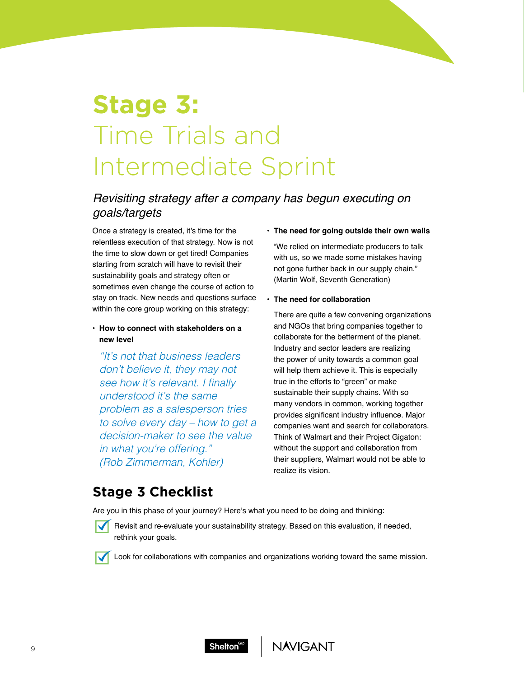## **Stage 3:** Time Trials and Intermediate Sprint

### Revisiting strategy after a company has begun executing on goals/targets

Once a strategy is created, it's time for the relentless execution of that strategy. Now is not the time to slow down or get tired! Companies starting from scratch will have to revisit their sustainability goals and strategy often or sometimes even change the course of action to stay on track. New needs and questions surface within the core group working on this strategy:

• **How to connect with stakeholders on a new level**

"It's not that business leaders don't believe it, they may not see how it's relevant. I finally understood it's the same problem as a salesperson tries to solve every day – how to get a decision-maker to see the value in what you're offering." (Rob Zimmerman, Kohler)

#### • **The need for going outside their own walls**

"We relied on intermediate producers to talk with us, so we made some mistakes having not gone further back in our supply chain." (Martin Wolf, Seventh Generation)

#### • **The need for collaboration**

There are quite a few convening organizations and NGOs that bring companies together to collaborate for the betterment of the planet. Industry and sector leaders are realizing the power of unity towards a common goal will help them achieve it. This is especially true in the efforts to "green" or make sustainable their supply chains. With so many vendors in common, working together provides significant industry influence. Major companies want and search for collaborators. Think of Walmart and their Project Gigaton: without the support and collaboration from their suppliers, Walmart would not be able to realize its vision.

### **Stage 3 Checklist**

Are you in this phase of your journey? Here's what you need to be doing and thinking:

Revisit and re-evaluate your sustainability strategy. Based on this evaluation, if needed, rethink your goals.

Look for collaborations with companies and organizations working toward the same mission.



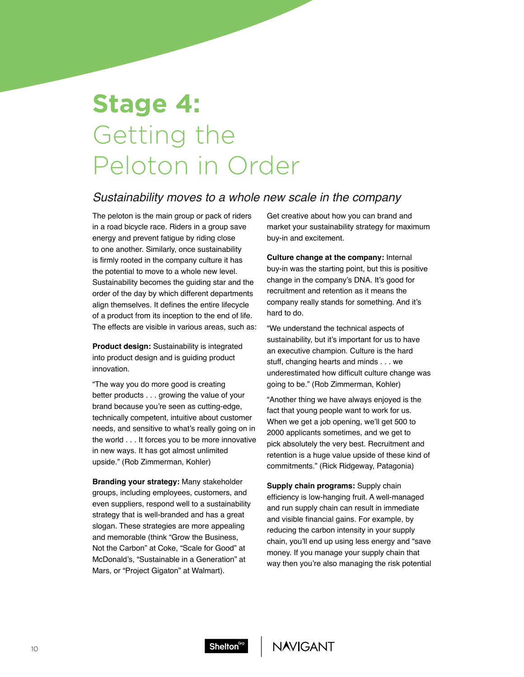## **Stage 4:** Getting the Peloton in Order

### *Sustainability moves to a whole new scale in the company*

The peloton is the main group or pack of riders in a road bicycle race. Riders in a group save energy and prevent fatigue by riding close to one another. Similarly, once sustainability is firmly rooted in the company culture it has the potential to move to a whole new level. Sustainability becomes the guiding star and the order of the day by which different departments align themselves. It defines the entire lifecycle of a product from its inception to the end of life. The effects are visible in various areas, such as:

**Product design:** Sustainability is integrated into product design and is guiding product innovation.

"The way you do more good is creating better products . . . growing the value of your brand because you're seen as cutting-edge, technically competent, intuitive about customer needs, and sensitive to what's really going on in the world . . . It forces you to be more innovative in new ways. It has got almost unlimited upside." (Rob Zimmerman, Kohler)

**Branding your strategy:** Many stakeholder groups, including employees, customers, and even suppliers, respond well to a sustainability strategy that is well-branded and has a great slogan. These strategies are more appealing and memorable (think "Grow the Business, Not the Carbon" at Coke, "Scale for Good" at McDonald's, "Sustainable in a Generation" at Mars, or "Project Gigaton" at Walmart).

Get creative about how you can brand and market your sustainability strategy for maximum buy-in and excitement.

**Culture change at the company:** Internal buy-in was the starting point, but this is positive change in the company's DNA. It's good for recruitment and retention as it means the company really stands for something. And it's hard to do.

"We understand the technical aspects of sustainability, but it's important for us to have an executive champion. Culture is the hard stuff, changing hearts and minds . . . we underestimated how difficult culture change was going to be." (Rob Zimmerman, Kohler)

"Another thing we have always enjoyed is the fact that young people want to work for us. When we get a job opening, we'll get 500 to 2000 applicants sometimes, and we get to pick absolutely the very best. Recruitment and retention is a huge value upside of these kind of commitments." (Rick Ridgeway, Patagonia)

**Supply chain programs:** Supply chain efficiency is low-hanging fruit. A well-managed and run supply chain can result in immediate and visible financial gains. For example, by reducing the carbon intensity in your supply chain, you'll end up using less energy and "save money. If you manage your supply chain that way then you're also managing the risk potential



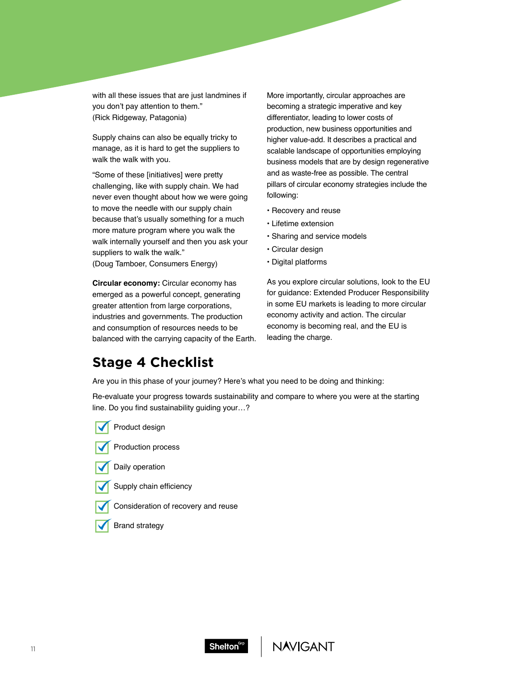with all these issues that are just landmines if you don't pay attention to them." (Rick Ridgeway, Patagonia)

Supply chains can also be equally tricky to manage, as it is hard to get the suppliers to walk the walk with you.

"Some of these [initiatives] were pretty challenging, like with supply chain. We had never even thought about how we were going to move the needle with our supply chain because that's usually something for a much more mature program where you walk the walk internally yourself and then you ask your suppliers to walk the walk."

(Doug Tamboer, Consumers Energy)

**Circular economy:** Circular economy has emerged as a powerful concept, generating greater attention from large corporations, industries and governments. The production and consumption of resources needs to be balanced with the carrying capacity of the Earth. More importantly, circular approaches are becoming a strategic imperative and key differentiator, leading to lower costs of production, new business opportunities and higher value-add. It describes a practical and scalable landscape of opportunities employing business models that are by design regenerative and as waste-free as possible. The central pillars of circular economy strategies include the following:

- Recovery and reuse
- Lifetime extension
- Sharing and service models
- Circular design
- Digital platforms

As you explore circular solutions, look to the EU for guidance: Extended Producer Responsibility in some EU markets is leading to more circular economy activity and action. The circular economy is becoming real, and the EU is leading the charge.

### **Stage 4 Checklist**

Are you in this phase of your journey? Here's what you need to be doing and thinking:

Re-evaluate your progress towards sustainability and compare to where you were at the starting line. Do you find sustainability guiding your…?

Product design



Daily operation



- Consideration of recovery and reuse
- Brand strategy



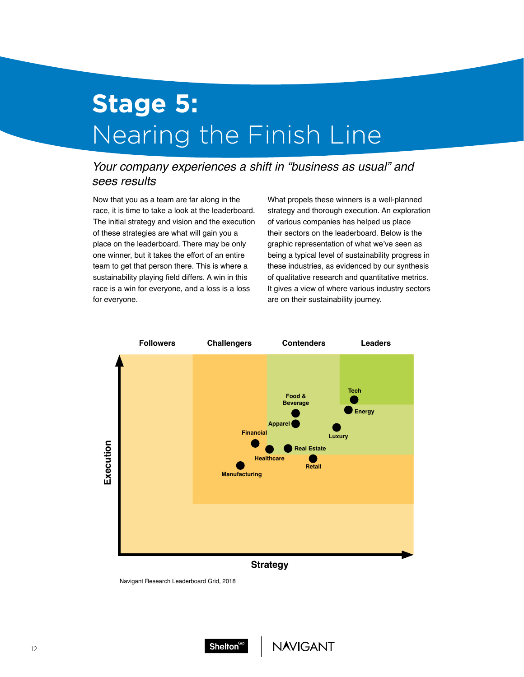## **Stage 5:** Nearing the Finish Line

### Your company experiences a shift in "business as usual" and *sees results*

Now that you as a team are far along in the race, it is time to take a look at the leaderboard. The initial strategy and vision and the execution of these strategies are what will gain you a place on the leaderboard. There may be only one winner, but it takes the effort of an entire team to get that person there. This is where a sustainability playing field differs. A win in this race is a win for everyone, and a loss is a loss for everyone.

What propels these winners is a well-planned strategy and thorough execution. An exploration of various companies has helped us place their sectors on the leaderboard. Below is the graphic representation of what we've seen as being a typical level of sustainability progress in these industries, as evidenced by our synthesis of qualitative research and quantitative metrics. It gives a view of where various industry sectors are on their sustainability journey.



Navigant Research Leaderboard Grid, 2018

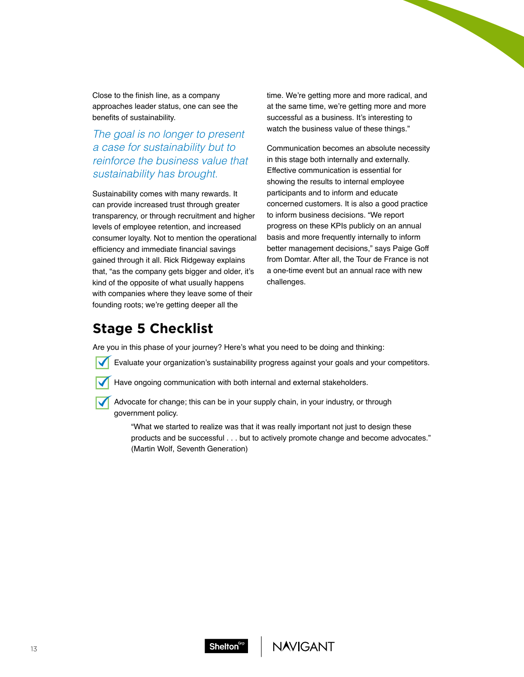Close to the finish line, as a company approaches leader status, one can see the benefits of sustainability.

### The goal is no longer to present a case for sustainability but to reinforce the business value that sustainability has brought.

Sustainability comes with many rewards. It can provide increased trust through greater transparency, or through recruitment and higher levels of employee retention, and increased consumer loyalty. Not to mention the operational efficiency and immediate financial savings gained through it all. Rick Ridgeway explains that, "as the company gets bigger and older, it's kind of the opposite of what usually happens with companies where they leave some of their founding roots; we're getting deeper all the

time. We're getting more and more radical, and at the same time, we're getting more and more successful as a business. It's interesting to watch the business value of these things."

Communication becomes an absolute necessity in this stage both internally and externally. Effective communication is essential for showing the results to internal employee participants and to inform and educate concerned customers. It is also a good practice to inform business decisions. "We report progress on these KPIs publicly on an annual basis and more frequently internally to inform better management decisions," says Paige Goff from Domtar. After all, the Tour de France is not a one-time event but an annual race with new challenges.

## **Stage 5 Checklist**

Are you in this phase of your journey? Here's what you need to be doing and thinking:

- Evaluate your organization's sustainability progress against your goals and your competitors.
- Have ongoing communication with both internal and external stakeholders.
- Advocate for change; this can be in your supply chain, in your industry, or through government policy.
	- "What we started to realize was that it was really important not just to design these products and be successful . . . but to actively promote change and become advocates." (Martin Wolf, Seventh Generation)

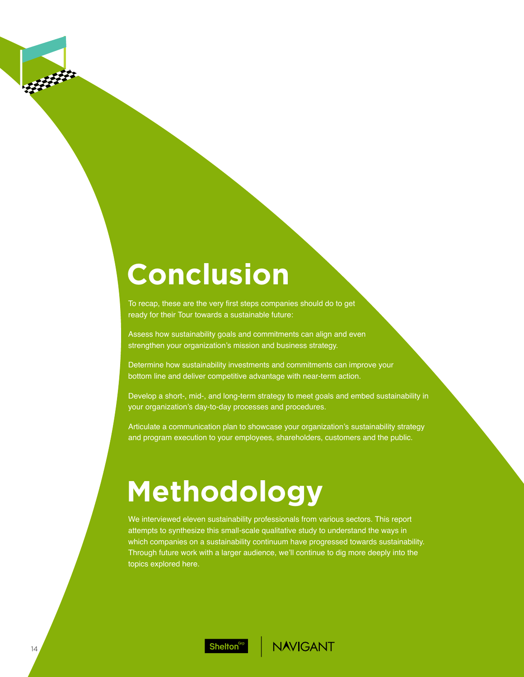## **Conclusion**

To recap, these are the very first steps companies should do to get ready for their Tour towards a sustainable future:

Assess how sustainability goals and commitments can align and even strengthen your organization's mission and business strategy.

Determine how sustainability investments and commitments can improve your bottom line and deliver competitive advantage with near-term action.

Develop a short-, mid-, and long-term strategy to meet goals and embed sustainability in your organization's day-to-day processes and procedures.

Articulate a communication plan to showcase your organization's sustainability strategy and program execution to your employees, shareholders, customers and the public.

# **Methodology**

We interviewed eleven sustainability professionals from various sectors. This report attempts to synthesize this small-scale qualitative study to understand the ways in which companies on a sustainability continuum have progressed towards sustainability. Through future work with a larger audience, we'll continue to dig more deeply into the topics explored here.